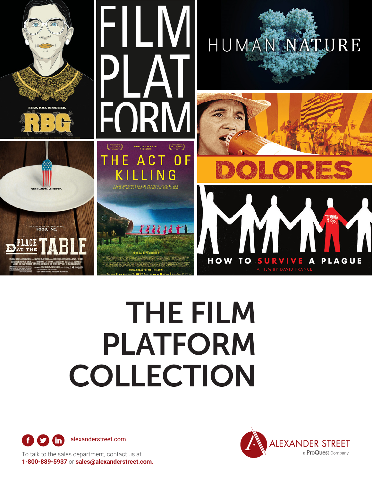

## THE FILM PLATFORM COLLECTION





To talk to the sales department, contact us at **1-800-889-5937** or **[sales@alexanderstreet.com](mailto:sales@alexanderstreet.com)**.